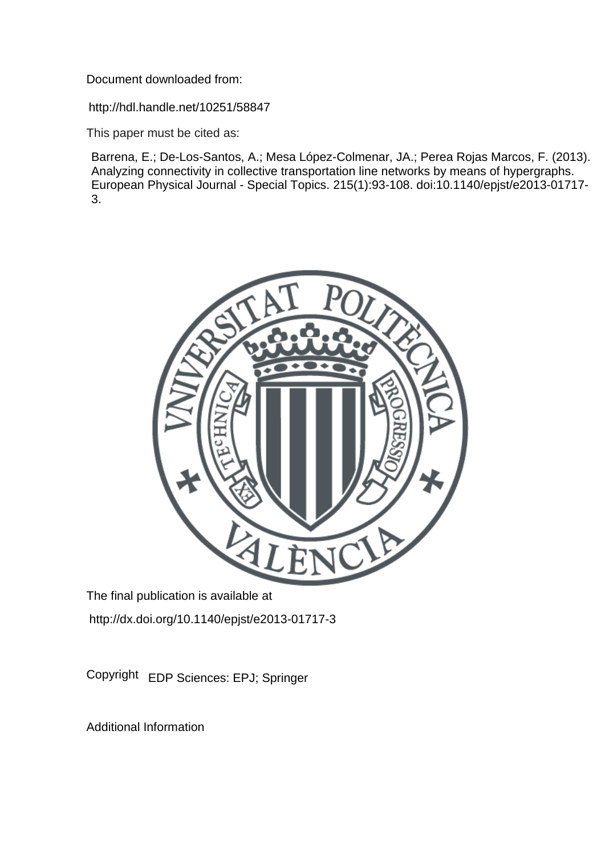Document downloaded from:

http://hdl.handle.net/10251/58847

This paper must be cited as:

Barrena, E.; De-Los-Santos, A.; Mesa López-Colmenar, JA.; Perea Rojas Marcos, F. (2013). Analyzing connectivity in collective transportation line networks by means of hypergraphs. European Physical Journal - Special Topics. 215(1):93-108. doi:10.1140/epjst/e2013-01717- 3.



The final publication is available at http://dx.doi.org/10.1140/epjst/e2013-01717-3

Copyright EDP Sciences: EPJ; Springer

Additional Information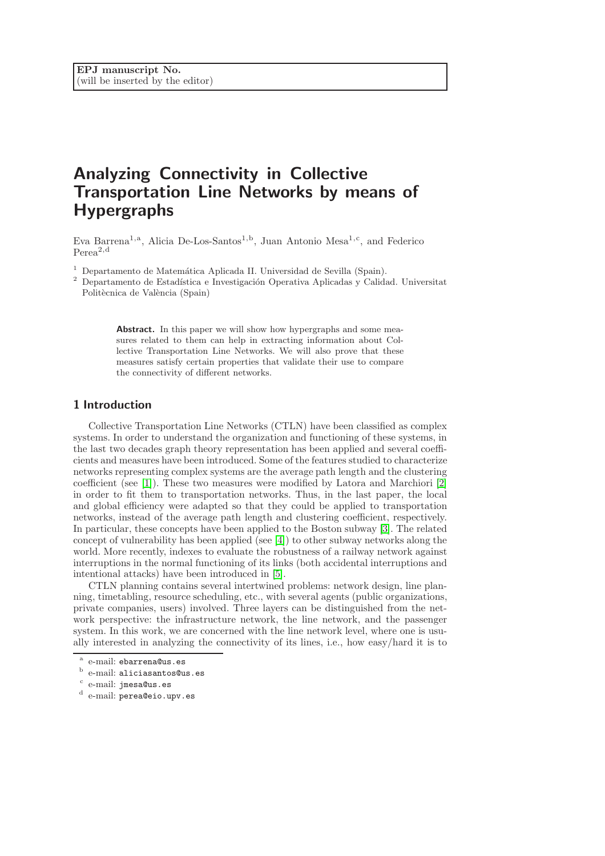# Analyzing Connectivity in Collective Transportation Line Networks by means of Hypergraphs

Eva Barrena<sup>1,a</sup>, Alicia De-Los-Santos<sup>1,b</sup>, Juan Antonio Mesa<sup>1,c</sup>, and Federico Perea<sup>2</sup>,<sup>d</sup>

<sup>1</sup> Departamento de Matemática Aplicada II. Universidad de Sevilla (Spain).

 $^{\rm 2}$  Departamento de Estadística e Investigación Operativa Aplicadas y Calidad. Universitat Politècnica de València (Spain)

> Abstract. In this paper we will show how hypergraphs and some measures related to them can help in extracting information about Collective Transportation Line Networks. We will also prove that these measures satisfy certain properties that validate their use to compare the connectivity of different networks.

# 1 Introduction

Collective Transportation Line Networks (CTLN) have been classified as complex systems. In order to understand the organization and functioning of these systems, in the last two decades graph theory representation has been applied and several coefficients and measures have been introduced. Some of the features studied to characterize networks representing complex systems are the average path length and the clustering coefficient (see [\[1\]](#page-13-0)). These two measures were modified by Latora and Marchiori [\[2\]](#page-13-1) in order to fit them to transportation networks. Thus, in the last paper, the local and global efficiency were adapted so that they could be applied to transportation networks, instead of the average path length and clustering coefficient, respectively. In particular, these concepts have been applied to the Boston subway [\[3\]](#page-13-2). The related concept of vulnerability has been applied (see [\[4\]](#page-13-3)) to other subway networks along the world. More recently, indexes to evaluate the robustness of a railway network against interruptions in the normal functioning of its links (both accidental interruptions and intentional attacks) have been introduced in [\[5\]](#page-13-4).

CTLN planning contains several intertwined problems: network design, line planning, timetabling, resource scheduling, etc., with several agents (public organizations, private companies, users) involved. Three layers can be distinguished from the network perspective: the infrastructure network, the line network, and the passenger system. In this work, we are concerned with the line network level, where one is usually interested in analyzing the connectivity of its lines, i.e., how easy/hard it is to

<sup>&</sup>lt;sup>a</sup> e-mail: ebarrena@us.es

 $^{\rm b}$  e-mail: aliciasantos@us.es

<sup>&</sup>lt;sup>c</sup> e-mail: jmesa@us.es

d e-mail: perea@eio.upv.es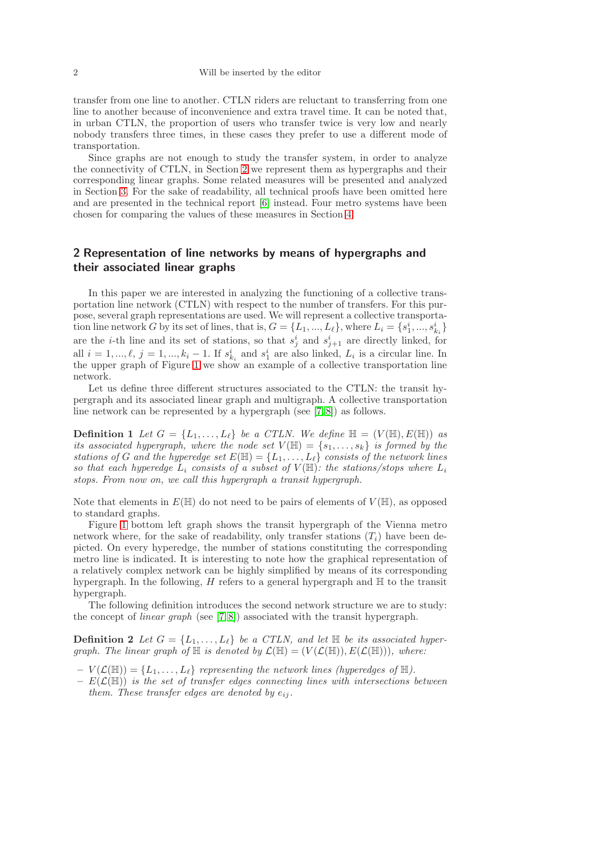### 2 Will be inserted by the editor

transfer from one line to another. CTLN riders are reluctant to transferring from one line to another because of inconvenience and extra travel time. It can be noted that, in urban CTLN, the proportion of users who transfer twice is very low and nearly nobody transfers three times, in these cases they prefer to use a different mode of transportation.

Since graphs are not enough to study the transfer system, in order to analyze the connectivity of CTLN, in Section [2](#page-2-0) we represent them as hypergraphs and their corresponding linear graphs. Some related measures will be presented and analyzed in Section [3.](#page-3-0) For the sake of readability, all technical proofs have been omitted here and are presented in the technical report [\[6\]](#page-13-5) instead. Four metro systems have been chosen for comparing the values of these measures in Section [4.](#page-10-0)

# <span id="page-2-0"></span>2 Representation of line networks by means of hypergraphs and their associated linear graphs

In this paper we are interested in analyzing the functioning of a collective transportation line network (CTLN) with respect to the number of transfers. For this purpose, several graph representations are used. We will represent a collective transportation line network G by its set of lines, that is,  $G = \{L_1, ..., L_\ell\}$ , where  $L_i = \{s_1^i, ..., s_{k_i}^i\}$ are the *i*-th line and its set of stations, so that  $s_j^i$  and  $s_{j+1}^i$  are directly linked, for all  $i = 1, ..., \ell, j = 1, ..., k_i - 1$ . If  $s_{k_i}^i$  and  $s_1^i$  are also linked,  $L_i$  is a circular line. In the upper graph of Figure [1](#page-14-0) we show an example of a collective transportation line network.

Let us define three different structures associated to the CTLN: the transit hypergraph and its associated linear graph and multigraph. A collective transportation line network can be represented by a hypergraph (see [\[7,](#page-13-6) [8\]](#page-13-7)) as follows.

**Definition 1** Let  $G = \{L_1, \ldots, L_\ell\}$  be a CTLN. We define  $\mathbb{H} = (V(\mathbb{H}), E(\mathbb{H}))$  as its associated hypergraph, where the node set  $V(\mathbb{H}) = \{s_1, \ldots, s_k\}$  is formed by the stations of G and the hyperedge set  $E(\mathbb{H}) = \{L_1, \ldots, L_\ell\}$  consists of the network lines so that each hyperedge  $L_i$  consists of a subset of  $V(\mathbb{H})$ : the stations/stops where  $L_i$ stops. From now on, we call this hypergraph a transit hypergraph.

Note that elements in  $E(\mathbb{H})$  do not need to be pairs of elements of  $V(\mathbb{H})$ , as opposed to standard graphs.

Figure [1](#page-14-0) bottom left graph shows the transit hypergraph of the Vienna metro network where, for the sake of readability, only transfer stations  $(T_i)$  have been depicted. On every hyperedge, the number of stations constituting the corresponding metro line is indicated. It is interesting to note how the graphical representation of a relatively complex network can be highly simplified by means of its corresponding hypergraph. In the following,  $H$  refers to a general hypergraph and  $H$  to the transit hypergraph.

The following definition introduces the second network structure we are to study: the concept of linear graph (see [\[7,](#page-13-6) [8\]](#page-13-7)) associated with the transit hypergraph.

**Definition 2** Let  $G = \{L_1, \ldots, L_\ell\}$  be a CTLN, and let  $H$  be its associated hypergraph. The linear graph of  $\mathbb H$  is denoted by  $\mathcal L(\mathbb H)=(V(\mathcal L(\mathbb H)), E(\mathcal L(\mathbb H)))$ , where:

- $-V(\mathcal{L}(\mathbb{H})) = \{L_1, \ldots, L_{\ell}\}\$  representing the network lines (hyperedges of  $\mathbb{H}$ ).
- $E(\mathcal{L}(\mathbb{H}))$  is the set of transfer edges connecting lines with intersections between them. These transfer edges are denoted by  $e_{ij}$ .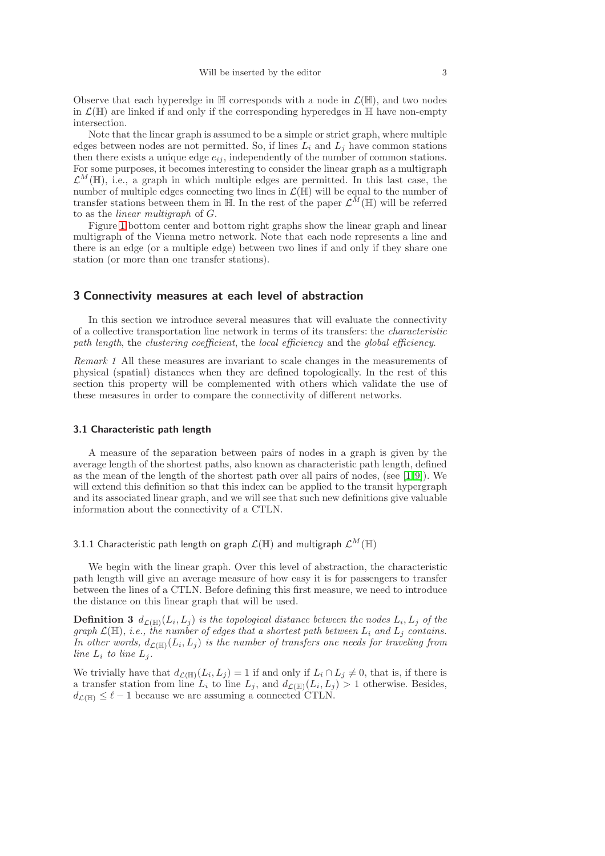Observe that each hyperedge in  $\mathbb H$  corresponds with a node in  $\mathcal L(\mathbb H)$ , and two nodes in  $\mathcal{L}(\mathbb{H})$  are linked if and only if the corresponding hyperedges in  $\mathbb{H}$  have non-empty intersection.

Note that the linear graph is assumed to be a simple or strict graph, where multiple edges between nodes are not permitted. So, if lines  $L_i$  and  $L_j$  have common stations then there exists a unique edge  $e_{ij}$ , independently of the number of common stations. For some purposes, it becomes interesting to consider the linear graph as a multigraph  $\mathcal{L}^M(\mathbb{H})$ , i.e., a graph in which multiple edges are permitted. In this last case, the number of multiple edges connecting two lines in  $\mathcal{L}(\mathbb{H})$  will be equal to the number of transfer stations between them in  $\mathbb{H}$ . In the rest of the paper  $\mathcal{L}^{\tilde{M}}(\mathbb{H})$  will be referred to as the linear multigraph of G.

Figure [1](#page-14-0) bottom center and bottom right graphs show the linear graph and linear multigraph of the Vienna metro network. Note that each node represents a line and there is an edge (or a multiple edge) between two lines if and only if they share one station (or more than one transfer stations).

## <span id="page-3-0"></span>3 Connectivity measures at each level of abstraction

In this section we introduce several measures that will evaluate the connectivity of a collective transportation line network in terms of its transfers: the characteristic path length, the clustering coefficient, the local efficiency and the global efficiency.

Remark 1 All these measures are invariant to scale changes in the measurements of physical (spatial) distances when they are defined topologically. In the rest of this section this property will be complemented with others which validate the use of these measures in order to compare the connectivity of different networks.

### 3.1 Characteristic path length

A measure of the separation between pairs of nodes in a graph is given by the average length of the shortest paths, also known as characteristic path length, defined as the mean of the length of the shortest path over all pairs of nodes, (see  $[1, 9]$  $[1, 9]$ ). We will extend this definition so that this index can be applied to the transit hypergraph and its associated linear graph, and we will see that such new definitions give valuable information about the connectivity of a CTLN.

# 3.1.1 Characteristic path length on graph  $\mathcal{L}(\mathbb{H})$  and multigraph  $\mathcal{L}^M(\mathbb{H})$

We begin with the linear graph. Over this level of abstraction, the characteristic path length will give an average measure of how easy it is for passengers to transfer between the lines of a CTLN. Before defining this first measure, we need to introduce the distance on this linear graph that will be used.

**Definition 3**  $d_{\mathcal{L}(\mathbb{H})}(L_i, L_j)$  is the topological distance between the nodes  $L_i, L_j$  of the graph  $\mathcal{L}(\mathbb{H})$ , i.e., the number of edges that a shortest path between  $L_i$  and  $L_j$  contains. In other words,  $d_{\mathcal{L}(\mathbb{H})}(L_i,L_j)$  is the number of transfers one needs for traveling from line  $L_i$  to line  $L_i$ .

<span id="page-3-1"></span>We trivially have that  $d_{\mathcal{L}(\mathbb{H})}(L_i, L_j) = 1$  if and only if  $L_i \cap L_j \neq 0$ , that is, if there is a transfer station from line  $L_i$  to line  $L_j$ , and  $d_{\mathcal{L}(\mathbb{H})}(L_i, L_j) > 1$  otherwise. Besides,  $d_{\mathcal{L}(\mathbb{H})} \leq \ell - 1$  because we are assuming a connected CTLN.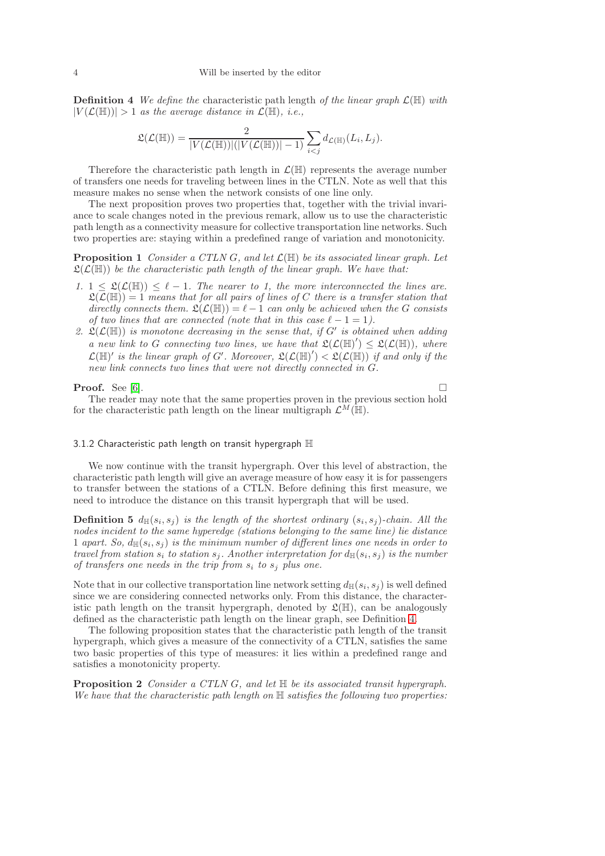**Definition 4** We define the characteristic path length of the linear graph  $\mathcal{L}(\mathbb{H})$  with  $|V(\mathcal{L}(\mathbb{H}))| > 1$  as the average distance in  $\mathcal{L}(\mathbb{H})$ , i.e.,

$$
\mathfrak{L}(\mathcal{L}(\mathbb{H})) = \frac{2}{|V(\mathcal{L}(\mathbb{H}))|(|V(\mathcal{L}(\mathbb{H}))| - 1)} \sum_{i < j} d_{\mathcal{L}(\mathbb{H})}(L_i, L_j).
$$

Therefore the characteristic path length in  $\mathcal{L}(\mathbb{H})$  represents the average number of transfers one needs for traveling between lines in the CTLN. Note as well that this measure makes no sense when the network consists of one line only.

The next proposition proves two properties that, together with the trivial invariance to scale changes noted in the previous remark, allow us to use the characteristic path length as a connectivity measure for collective transportation line networks. Such two properties are: staying within a predefined range of variation and monotonicity.

<span id="page-4-0"></span>**Proposition 1** Consider a CTLN G, and let  $\mathcal{L}(\mathbb{H})$  be its associated linear graph. Let  $\mathfrak{L}(\mathcal{L}(\mathbb{H}))$  be the characteristic path length of the linear graph. We have that:

- 1.  $1 \leq \mathfrak{L}(\mathcal{L}(\mathbb{H})) \leq \ell 1$ . The nearer to 1, the more interconnected the lines are.  $\mathfrak{L}(\mathcal{L}(\mathbb{H})) = 1$  means that for all pairs of lines of C there is a transfer station that directly connects them.  $\mathfrak{L}(\mathcal{L}(\mathbb{H})) = \ell - 1$  can only be achieved when the G consists of two lines that are connected (note that in this case  $\ell - 1 = 1$ ).
- 2.  $\mathfrak{L}(\mathcal{L}(\mathbb{H}))$  is monotone decreasing in the sense that, if G' is obtained when adding a new link to G connecting two lines, we have that  $\mathfrak{L}(\mathcal{L}(\mathbb{H})') \leq \mathfrak{L}(\mathcal{L}(\mathbb{H}))$ , where  $\mathcal{L}(\mathbb{H})'$  is the linear graph of G'. Moreover,  $\mathfrak{L}(\mathcal{L}(\mathbb{H})') < \mathfrak{L}(\mathcal{L}(\mathbb{H}))$  if and only if the new link connects two lines that were not directly connected in G.

### Proof. See [\[6\]](#page-13-5).

The reader may note that the same properties proven in the previous section hold for the characteristic path length on the linear multigraph  $\mathcal{L}^M(\mathbb{H})$ .

#### 3.1.2 Characteristic path length on transit hypergraph  $\mathbb H$

We now continue with the transit hypergraph. Over this level of abstraction, the characteristic path length will give an average measure of how easy it is for passengers to transfer between the stations of a CTLN. Before defining this first measure, we need to introduce the distance on this transit hypergraph that will be used.

**Definition 5**  $d_{\mathbb{H}}(s_i, s_j)$  is the length of the shortest ordinary  $(s_i, s_j)$ -chain. All the nodes incident to the same hyperedge (stations belonging to the same line) lie distance 1 apart. So,  $d_{\mathbb{H}}(s_i, s_j)$  is the minimum number of different lines one needs in order to travel from station  $s_i$  to station  $s_j$ . Another interpretation for  $d_{\mathbb{H}}(s_i,s_j)$  is the number of transfers one needs in the trip from  $s_i$  to  $s_j$  plus one.

Note that in our collective transportation line network setting  $d_{\mathbb{H}}(s_i, s_j)$  is well defined since we are considering connected networks only. From this distance, the characteristic path length on the transit hypergraph, denoted by  $\mathfrak{L}(\mathbb{H})$ , can be analogously defined as the characteristic path length on the linear graph, see Definition [4.](#page-3-1)

The following proposition states that the characteristic path length of the transit hypergraph, which gives a measure of the connectivity of a CTLN, satisfies the same two basic properties of this type of measures: it lies within a predefined range and satisfies a monotonicity property.

Proposition 2 Consider a CTLN G, and let  $\mathbb H$  be its associated transit hypergraph. We have that the characteristic path length on  $\mathbb H$  satisfies the following two properties: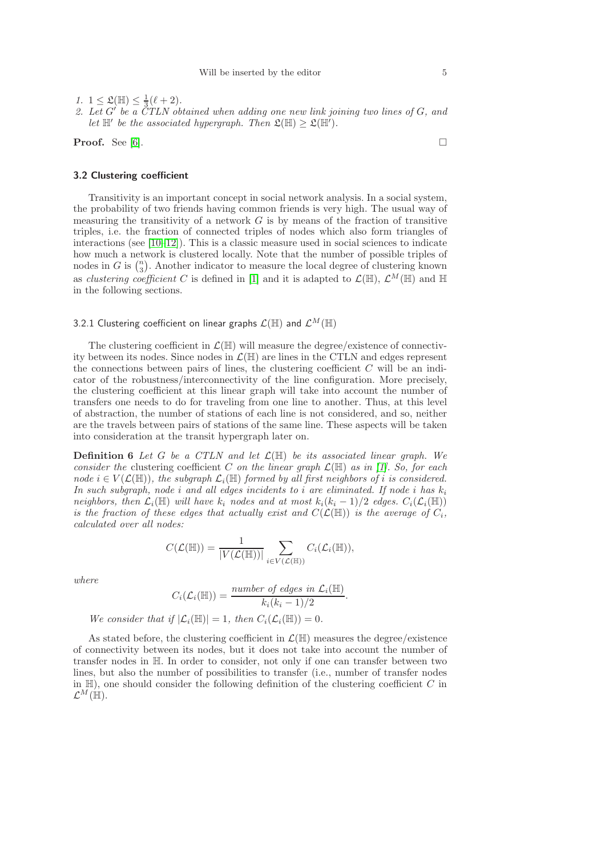1.  $1 \leq \mathfrak{L}(\mathbb{H}) \leq \frac{1}{3}(\ell+2)$ .

2. Let  $G'$  be a  $\text{CTLN}$  obtained when adding one new link joining two lines of  $G$ , and let  $\mathbb{H}'$  be the associated hypergraph. Then  $\mathfrak{L}(\mathbb{H}) \geq \mathfrak{L}(\mathbb{H}').$ 

**Proof.** See [\[6\]](#page-13-5).  $\Box$ 

### 3.2 Clustering coefficient

Transitivity is an important concept in social network analysis. In a social system, the probability of two friends having common friends is very high. The usual way of measuring the transitivity of a network  $G$  is by means of the fraction of transitive triples, i.e. the fraction of connected triples of nodes which also form triangles of interactions (see  $[10-12]$ ). This is a classic measure used in social sciences to indicate how much a network is clustered locally. Note that the number of possible triples of nodes in  $G$  is  $\binom{n}{3}$ . Another indicator to measure the local degree of clustering known as clustering coefficient C is defined in [\[1\]](#page-13-0) and it is adapted to  $\mathcal{L}(\mathbb{H})$ ,  $\mathcal{L}^M(\mathbb{H})$  and  $\mathbb{H}$ in the following sections.

# 3.2.1 Clustering coefficient on linear graphs  $\mathcal{L}(\mathbb{H})$  and  $\mathcal{L}^M(\mathbb{H})$

The clustering coefficient in  $\mathcal{L}(\mathbb{H})$  will measure the degree/existence of connectivity between its nodes. Since nodes in  $\mathcal{L}(\mathbb{H})$  are lines in the CTLN and edges represent the connections between pairs of lines, the clustering coefficient  $C$  will be an indicator of the robustness/interconnectivity of the line configuration. More precisely, the clustering coefficient at this linear graph will take into account the number of transfers one needs to do for traveling from one line to another. Thus, at this level of abstraction, the number of stations of each line is not considered, and so, neither are the travels between pairs of stations of the same line. These aspects will be taken into consideration at the transit hypergraph later on.

**Definition 6** Let G be a CTLN and let  $\mathcal{L}(\mathbb{H})$  be its associated linear graph. We consider the clustering coefficient C on the linear graph  $\mathcal{L}(\mathbb{H})$  as in [\[1\]](#page-13-0). So, for each node  $i \in V(\mathcal{L}(\mathbb{H}))$ , the subgraph  $\mathcal{L}_i(\mathbb{H})$  formed by all first neighbors of i is considered. In such subgraph, node i and all edges incidents to i are eliminated. If node i has  $k_i$ neighbors, then  $\mathcal{L}_i(\mathbb{H})$  will have  $k_i$  nodes and at most  $k_i(k_i-1)/2$  edges.  $C_i(\mathcal{L}_i(\mathbb{H}))$ is the fraction of these edges that actually exist and  $C(\mathcal{L}(\mathbb{H}))$  is the average of  $C_i$ , calculated over all nodes:

$$
C(\mathcal{L}(\mathbb{H})) = \frac{1}{|V(\mathcal{L}(\mathbb{H}))|} \sum_{i \in V(\mathcal{L}(\mathbb{H}))} C_i(\mathcal{L}_i(\mathbb{H})),
$$

where

$$
C_i(\mathcal{L}_i(\mathbb{H})) = \frac{number\ of\ edges\ in\ \mathcal{L}_i(\mathbb{H})}{k_i(k_i-1)/2}.
$$

We consider that if  $|\mathcal{L}_i(\mathbb{H})| = 1$ , then  $C_i(\mathcal{L}_i(\mathbb{H})) = 0$ .

As stated before, the clustering coefficient in  $\mathcal{L}(\mathbb{H})$  measures the degree/existence of connectivity between its nodes, but it does not take into account the number of transfer nodes in H. In order to consider, not only if one can transfer between two lines, but also the number of possibilities to transfer (i.e., number of transfer nodes in  $H$ ), one should consider the following definition of the clustering coefficient  $C$  in  $\mathcal{L}^M(\mathbb{H}).$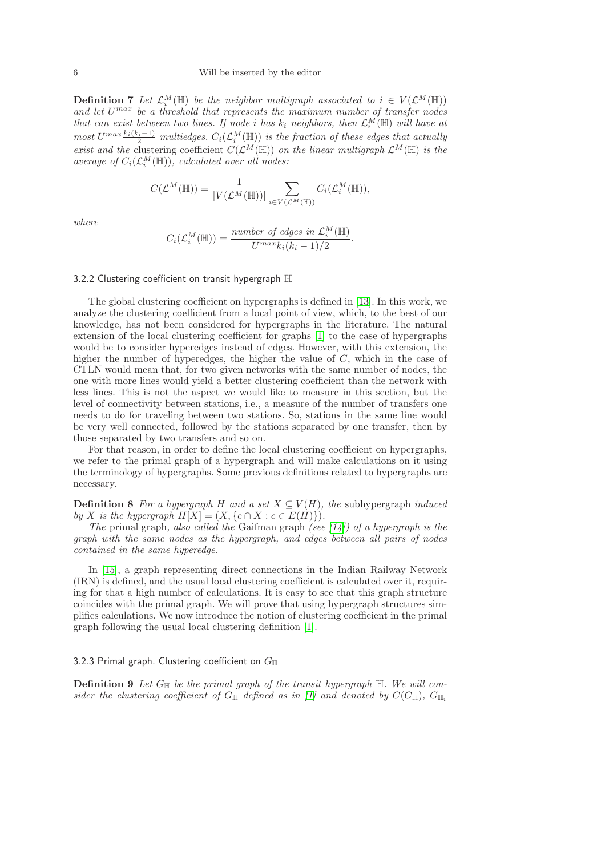**Definition 7** Let  $\mathcal{L}_i^M(\mathbb{H})$  be the neighbor multigraph associated to  $i \in V(\mathcal{L}^M(\mathbb{H}))$ and let  $U^{max}$  be a threshold that represents the maximum number of transfer nodes that can exist between two lines. If node i has  $k_i$  neighbors, then  $\mathcal{L}_i^M(\mathbb{H})$  will have at most  $U^{max} \frac{k_i(k_i-1)}{2}$  multiedges.  $C_i(\mathcal{L}_i^M(\mathbb{H}))$  is the fraction of these edges that actually exist and the clustering coefficient  $C(\mathcal{L}^M(\mathbb{H}))$  on the linear multigraph  $\mathcal{L}^M(\mathbb{H})$  is the average of  $C_i(\mathcal{L}_i^M(\mathbb{H}))$ , calculated over all nodes:

$$
C(\mathcal{L}^M(\mathbb{H})) = \frac{1}{|V(\mathcal{L}^M(\mathbb{H}))|} \sum_{i \in V(\mathcal{L}^M(\mathbb{H}))} C_i(\mathcal{L}_i^M(\mathbb{H})),
$$

where

$$
C_i(\mathcal{L}_i^M(\mathbb{H})) = \frac{number\ of\ edges\ in\ \mathcal{L}_i^M(\mathbb{H})}{U^{max}k_i(k_i-1)/2}.
$$

#### 3.2.2 Clustering coefficient on transit hypergraph  $\mathbb H$

The global clustering coefficient on hypergraphs is defined in [\[13\]](#page-13-11). In this work, we analyze the clustering coefficient from a local point of view, which, to the best of our knowledge, has not been considered for hypergraphs in the literature. The natural extension of the local clustering coefficient for graphs [\[1\]](#page-13-0) to the case of hypergraphs would be to consider hyperedges instead of edges. However, with this extension, the higher the number of hyperedges, the higher the value of C, which in the case of CTLN would mean that, for two given networks with the same number of nodes, the one with more lines would yield a better clustering coefficient than the network with less lines. This is not the aspect we would like to measure in this section, but the level of connectivity between stations, i.e., a measure of the number of transfers one needs to do for traveling between two stations. So, stations in the same line would be very well connected, followed by the stations separated by one transfer, then by those separated by two transfers and so on.

For that reason, in order to define the local clustering coefficient on hypergraphs, we refer to the primal graph of a hypergraph and will make calculations on it using the terminology of hypergraphs. Some previous definitions related to hypergraphs are necessary.

**Definition 8** For a hypergraph H and a set  $X \subseteq V(H)$ , the subhypergraph induced by X is the hypergraph  $H[X] = (X, \{e \cap X : e \in E(H)\}).$ 

The primal graph, also called the Gaifman graph (see  $(14)$ ) of a hypergraph is the graph with the same nodes as the hypergraph, and edges between all pairs of nodes contained in the same hyperedge.

In [\[15\]](#page-13-13), a graph representing direct connections in the Indian Railway Network (IRN) is defined, and the usual local clustering coefficient is calculated over it, requiring for that a high number of calculations. It is easy to see that this graph structure coincides with the primal graph. We will prove that using hypergraph structures simplifies calculations. We now introduce the notion of clustering coefficient in the primal graph following the usual local clustering definition [\[1\]](#page-13-0).

3.2.3 Primal graph. Clustering coefficient on  $G_{\mathbb{H}}$ 

**Definition 9** Let  $G_{\mathbb{H}}$  be the primal graph of the transit hypergraph  $\mathbb{H}$ . We will consider the clustering coefficient of  $G_{\mathbb{H}}$  defined as in [\[1\]](#page-13-0) and denoted by  $C(G_{\mathbb{H}})$ ,  $G_{\mathbb{H}}$ .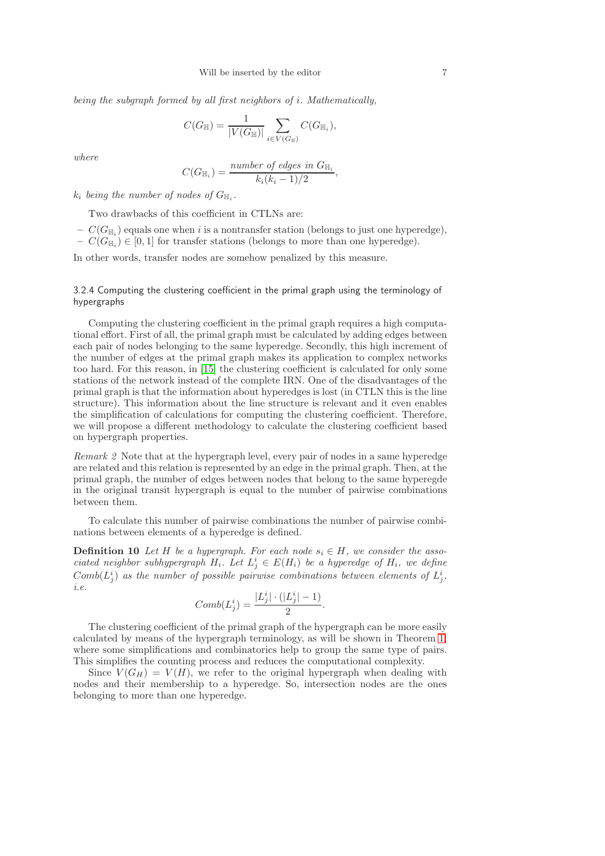being the subgraph formed by all first neighbors of i. Mathematically,

$$
C(G_{\mathbb{H}}) = \frac{1}{|V(G_{\mathbb{H}})|} \sum_{i \in V(G_{\mathbb{H}})} C(G_{\mathbb{H}_i}),
$$

where

$$
C(G_{\mathbb{H}_i}) = \frac{number\ of\ edges\ in\ G_{\mathbb{H}_i}}{k_i(k_i-1)/2}
$$

,

 $k_i$  being the number of nodes of  $G_{\mathbb{H}_i}$ .

Two drawbacks of this coefficient in CTLNs are:

 $- C(G_{\mathbb{H}_i})$  equals one when i is a nontransfer station (belongs to just one hyperedge),  $- C(G_{\mathbb{H}_i}) \in [0,1]$  for transfer stations (belongs to more than one hyperedge).

In other words, transfer nodes are somehow penalized by this measure.

### 3.2.4 Computing the clustering coefficient in the primal graph using the terminology of hypergraphs

Computing the clustering coefficient in the primal graph requires a high computational effort. First of all, the primal graph must be calculated by adding edges between each pair of nodes belonging to the same hyperedge. Secondly, this high increment of the number of edges at the primal graph makes its application to complex networks too hard. For this reason, in [\[15\]](#page-13-13) the clustering coefficient is calculated for only some stations of the network instead of the complete IRN. One of the disadvantages of the primal graph is that the information about hyperedges is lost (in CTLN this is the line structure). This information about the line structure is relevant and it even enables the simplification of calculations for computing the clustering coefficient. Therefore, we will propose a different methodology to calculate the clustering coefficient based on hypergraph properties.

Remark 2 Note that at the hypergraph level, every pair of nodes in a same hyperedge are related and this relation is represented by an edge in the primal graph. Then, at the primal graph, the number of edges between nodes that belong to the same hyperegde in the original transit hypergraph is equal to the number of pairwise combinations between them.

To calculate this number of pairwise combinations the number of pairwise combinations between elements of a hyperedge is defined.

**Definition 10** Let H be a hypergraph. For each node  $s_i \in H$ , we consider the associated neighbor subhypergraph  $H_i$ . Let  $L^i_j \in E(H_i)$  be a hyperedge of  $H_i$ , we define  $Comb(L_j^i)$  as the number of possible pairwise combinations between elements of  $L_j^i$ , i.e.

$$
Comb(L^i_j)=\frac{|L^i_j|\cdot(|L^i_j|-1)}{2}
$$

.

The clustering coefficient of the primal graph of the hypergraph can be more easily calculated by means of the hypergraph terminology, as will be shown in Theorem [1,](#page-7-0) where some simplifications and combinatorics help to group the same type of pairs. This simplifies the counting process and reduces the computational complexity.

<span id="page-7-0"></span>Since  $V(G_H) = V(H)$ , we refer to the original hypergraph when dealing with nodes and their membership to a hyperedge. So, intersection nodes are the ones belonging to more than one hyperedge.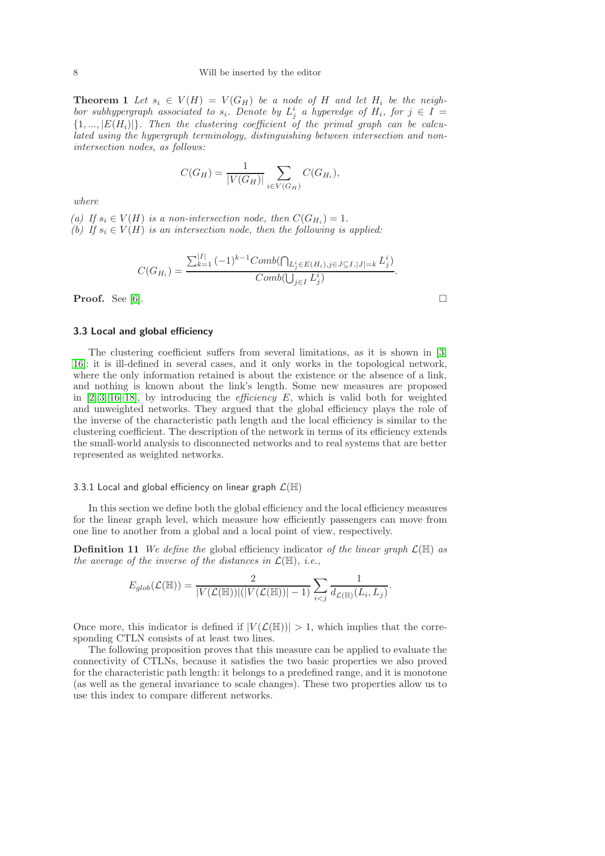**Theorem 1** Let  $s_i \in V(H) = V(G_H)$  be a node of H and let  $H_i$  be the neighbor subhypergraph associated to  $s_i$ . Denote by  $L^i_j$  a hyperedge of  $H_i$ , for  $j \in I$  $\{1, ..., |E(H_i)|\}$ . Then the clustering coefficient of the primal graph can be calculated using the hypergraph terminology, distinguishing between intersection and nonintersection nodes, as follows:

$$
C(G_H) = \frac{1}{|V(G_H)|} \sum_{i \in V(G_H)} C(G_{H_i}),
$$

where

(a) If  $s_i \in V(H)$  is a non-intersection node, then  $C(G_{H_i}) = 1$ . (b) If  $s_i \in V(H)$  is an intersection node, then the following is applied:

$$
C(G_{H_i}) = \frac{\sum_{k=1}^{|I|} (-1)^{k-1}Comb(\bigcap_{L_j^i \in E(H_i), j \in J \subseteq I, |J|=k} L_j^i)}{Comb(\bigcup_{j \in I} L_j^i)}.
$$

**Proof.** See [\[6\]](#page-13-5).

### <span id="page-8-1"></span>3.3 Local and global efficiency

The clustering coefficient suffers from several limitations, as it is shown in [\[3,](#page-13-2) [16\]](#page-13-14): it is ill-defined in several cases, and it only works in the topological network, where the only information retained is about the existence or the absence of a link, and nothing is known about the link's length. Some new measures are proposed in  $[2, 3, 16-18]$  $[2, 3, 16-18]$  $[2, 3, 16-18]$  $[2, 3, 16-18]$ , by introducing the *efficiency* E, which is valid both for weighted and unweighted networks. They argued that the global efficiency plays the role of the inverse of the characteristic path length and the local efficiency is similar to the clustering coefficient. The description of the network in terms of its efficiency extends the small-world analysis to disconnected networks and to real systems that are better represented as weighted networks.

### 3.3.1 Local and global efficiency on linear graph  $\mathcal{L}(\mathbb{H})$

In this section we define both the global efficiency and the local efficiency measures for the linear graph level, which measure how efficiently passengers can move from one line to another from a global and a local point of view, respectively.

<span id="page-8-0"></span>**Definition 11** We define the global efficiency indicator of the linear graph  $\mathcal{L}(\mathbb{H})$  as the average of the inverse of the distances in  $\mathcal{L}(\mathbb{H})$ , i.e.,

$$
E_{glob}(\mathcal{L}(\mathbb{H})) = \frac{2}{|V(\mathcal{L}(\mathbb{H}))|(|V(\mathcal{L}(\mathbb{H}))| - 1)} \sum_{i < j} \frac{1}{d_{\mathcal{L}(\mathbb{H})}(L_i, L_j)}.
$$

Once more, this indicator is defined if  $|V(\mathcal{L}(\mathbb{H}))| > 1$ , which implies that the corresponding CTLN consists of at least two lines.

The following proposition proves that this measure can be applied to evaluate the connectivity of CTLNs, because it satisfies the two basic properties we also proved for the characteristic path length: it belongs to a predefined range, and it is monotone (as well as the general invariance to scale changes). These two properties allow us to use this index to compare different networks.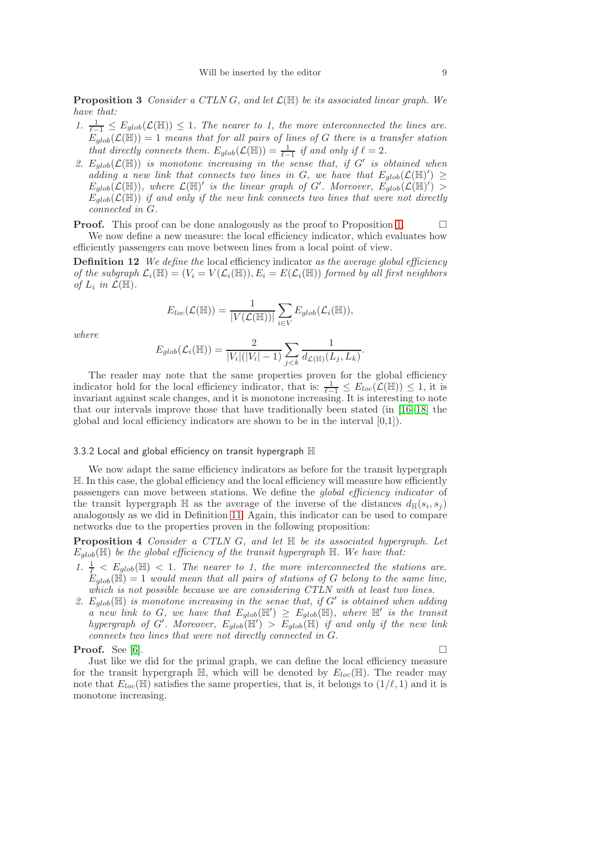**Proposition 3** Consider a CTLN G, and let  $\mathcal{L}(\mathbb{H})$  be its associated linear graph. We have that:

- 1.  $\frac{1}{\ell-1} \leq E_{glob}(\mathcal{L}(\mathbb{H})) \leq 1$ . The nearer to 1, the more interconnected the lines are.  $E_{alob}(\mathcal{L}(\mathbb{H})) = 1$  means that for all pairs of lines of G there is a transfer station that directly connects them.  $E_{glob}(\mathcal{L}(\mathbb{H})) = \frac{1}{\ell - 1}$  if and only if  $\ell = 2$ .
- 2.  $E_{glob}(\mathcal{L}(\mathbb{H}))$  is monotone increasing in the sense that, if G' is obtained when adding a new link that connects two lines in G, we have that  $E_{glob}(\mathcal{L}(\mathbb{H})') \geq$  $E_{glob}(\mathcal{L}(\mathbb{H}))$ , where  $\mathcal{L}(\mathbb{H})'$  is the linear graph of G'. Moreover,  $E_{glob}(\mathcal{L}(\mathbb{H})') >$  $\tilde{E}_{alob}(\mathcal{L}(\mathbb{H}))$  if and only if the new link connects two lines that were not directly connected in G.

**Proof.** This proof can be done analogously as the proof to Proposition [1.](#page-4-0)  $\Box$ We now define a new measure: the local efficiency indicator, which evaluates how efficiently passengers can move between lines from a local point of view.

**Definition 12** We define the local efficiency indicator as the average global efficiency of the subgraph  $\mathcal{L}_i(\mathbb{H}) = (V_i = V(\mathcal{L}_i(\mathbb{H})), E_i = E(\mathcal{L}_i(\mathbb{H}))$  formed by all first neighbors of  $L_i$  in  $\mathcal{L}(\mathbb{H})$ .

$$
E_{loc}(\mathcal{L}(\mathbb{H})) = \frac{1}{|V(\mathcal{L}(\mathbb{H}))|} \sum_{i \in V} E_{glob}(\mathcal{L}_i(\mathbb{H})),
$$

where

$$
E_{glob}(\mathcal{L}_i(\mathbb{H})) = \frac{2}{|V_i|(|V_i|-1)} \sum_{j < k} \frac{1}{d_{\mathcal{L}(\mathbb{H})}(L_j, L_k)}
$$

.

The reader may note that the same properties proven for the global efficiency indicator hold for the local efficiency indicator, that is:  $\frac{1}{\ell-1} \leq E_{loc}(\mathcal{L}(\mathbb{H})) \leq 1$ , it is invariant against scale changes, and it is monotone increasing. It is interesting to note that our intervals improve those that have traditionally been stated (in [\[16](#page-13-14)[–18\]](#page-13-15) the global and local efficiency indicators are shown to be in the interval [0,1]).

### 3.3.2 Local and global efficiency on transit hypergraph H

We now adapt the same efficiency indicators as before for the transit hypergraph H. In this case, the global efficiency and the local efficiency will measure how efficiently passengers can move between stations. We define the global efficiency indicator of the transit hypergraph  $\mathbb H$  as the average of the inverse of the distances  $d_{\mathbb H}(s_i, s_j)$ analogously as we did in Definition [11.](#page-8-0) Again, this indicator can be used to compare networks due to the properties proven in the following proposition:

**Proposition 4** Consider a CTLN G, and let  $H$  be its associated hypergraph. Let  $E_{alob}(\mathbb{H})$  be the global efficiency of the transit hypergraph  $\mathbb{H}$ . We have that:

- 1.  $\frac{1}{\ell}$  <  $E_{glob}(\mathbb{H})$  < 1. The nearer to 1, the more interconnected the stations are.  $E_{alob}(\mathbb{H}) = 1$  would mean that all pairs of stations of G belong to the same line, which is not possible because we are considering CTLN with at least two lines.
- 2.  $E_{glob}(\mathbb{H})$  is monotone increasing in the sense that, if G' is obtained when adding a new link to G, we have that  $E_{glob}(\mathbb{H}') \geq E_{glob}(\mathbb{H})$ , where  $\mathbb{H}'$  is the transit hypergraph of G'. Moreover,  $E_{glob}(\mathbb{H}) > E_{glob}(\mathbb{H})$  if and only if the new link connects two lines that were not directly connected in G.

#### **Proof.** See [\[6\]](#page-13-5).

Just like we did for the primal graph, we can define the local efficiency measure for the transit hypergraph  $\mathbb{H}$ , which will be denoted by  $E_{loc}(\mathbb{H})$ . The reader may note that  $E_{loc}(\mathbb{H})$  satisfies the same properties, that is, it belongs to  $(1/\ell, 1)$  and it is monotone increasing.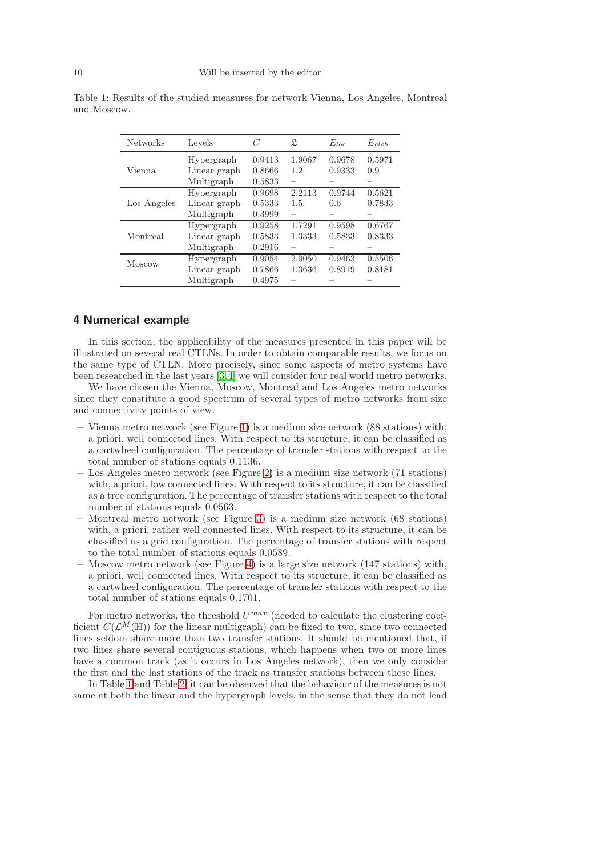| <b>Networks</b> | Levels       | C      | $\mathfrak{L}$ | $E_{loc}$ | $E_{glob}$ |
|-----------------|--------------|--------|----------------|-----------|------------|
| Vienna          | Hypergraph   | 0.9413 | 1.9067         | 0.9678    | 0.5971     |
|                 | Linear graph | 0.8666 | 1.2            | 0.9333    | 0.9        |
|                 | Multigraph   | 0.5833 |                |           |            |
| Los Angeles     | Hypergraph   | 0.9698 | 2.2113         | 0.9744    | 0.5621     |
|                 | Linear graph | 0.5333 | 1.5            | 0.6       | 0.7833     |
|                 | Multigraph   | 0.3999 |                |           |            |
| Montreal        | Hypergraph   | 0.9258 | 1.7291         | 0.9598    | 0.6767     |
|                 | Linear graph | 0.5833 | 1.3333         | 0.5833    | 0.8333     |
|                 | Multigraph   | 0.2916 |                |           |            |
| Moscow          | Hypergraph   | 0.9054 | 2.0050         | 0.9463    | 0.5506     |
|                 | Linear graph | 0.7866 | 1.3636         | 0.8919    | 0.8181     |
|                 | Multigraph   | 0.4975 |                |           |            |
|                 |              |        |                |           |            |

<span id="page-10-1"></span>Table 1: Results of the studied measures for network Vienna, Los Angeles, Montreal and Moscow.

# <span id="page-10-0"></span>4 Numerical example

In this section, the applicability of the measures presented in this paper will be illustrated on several real CTLNs. In order to obtain comparable results, we focus on the same type of CTLN. More precisely, since some aspects of metro systems have been researched in the last years [\[3,](#page-13-2)[4\]](#page-13-3) we will consider four real world metro networks.

We have chosen the Vienna, Moscow, Montreal and Los Angeles metro networks since they constitute a good spectrum of several types of metro networks from size and connectivity points of view.

- Vienna metro network (see Figure [1\)](#page-14-0) is a medium size network (88 stations) with, a priori, well connected lines. With respect to its structure, it can be classified as a cartwheel configuration. The percentage of transfer stations with respect to the total number of stations equals 0.1136.
- Los Angeles metro network (see Figure [2\)](#page-15-0) is a medium size network (71 stations) with, a priori, low connected lines. With respect to its structure, it can be classified as a tree configuration. The percentage of transfer stations with respect to the total number of stations equals 0.0563.
- Montreal metro network (see Figure [3\)](#page-16-0) is a medium size network (68 stations) with, a priori, rather well connected lines. With respect to its structure, it can be classified as a grid configuration. The percentage of transfer stations with respect to the total number of stations equals 0.0589.
- Moscow metro network (see Figure [4\)](#page-17-0) is a large size network (147 stations) with, a priori, well connected lines. With respect to its structure, it can be classified as a cartwheel configuration. The percentage of transfer stations with respect to the total number of stations equals 0.1701.

For metro networks, the threshold  $U^{max}$  (needed to calculate the clustering coefficient  $C(\mathcal{L}^M(\mathbb{H}))$  for the linear multigraph) can be fixed to two, since two connected lines seldom share more than two transfer stations. It should be mentioned that, if two lines share several contiguous stations, which happens when two or more lines have a common track (as it occurs in Los Angeles network), then we only consider the first and the last stations of the track as transfer stations between these lines.

In Table [1](#page-10-1) and Table [2,](#page-11-0) it can be observed that the behaviour of the measures is not same at both the linear and the hypergraph levels, in the sense that they do not lead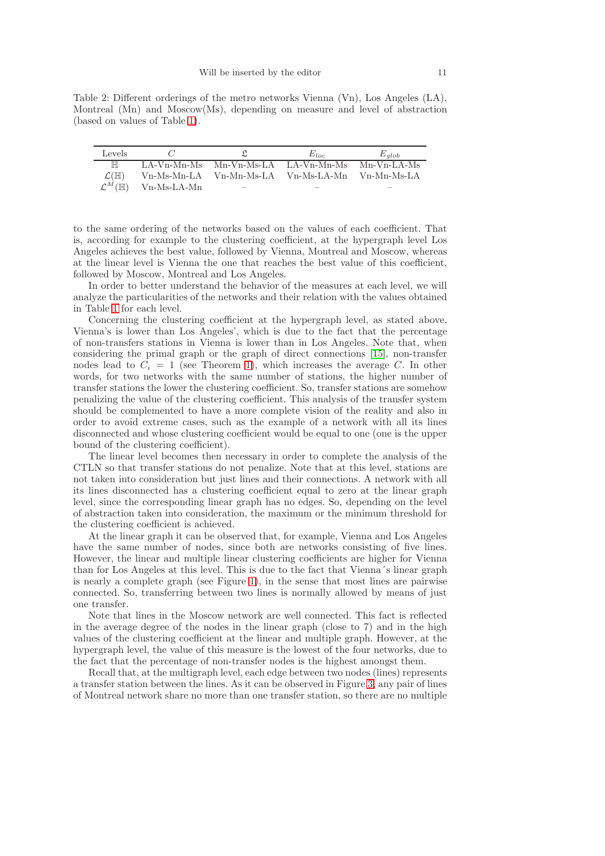<span id="page-11-0"></span>Table 2: Different orderings of the metro networks Vienna (Vn), Los Angeles (LA), Montreal (Mn) and Moscow(Ms), depending on measure and level of abstraction (based on values of Table [1\)](#page-10-1).

| Levels                      |               | A.                       | $E_{loc}$                | $E_{alob}$                  |
|-----------------------------|---------------|--------------------------|--------------------------|-----------------------------|
| H                           | $LA-Vn-Mn-Ms$ | Mn-Vn-Ms-LA              | LA-Vn-Mn-Ms              | $Mn-Vn-LA-Ms$               |
| $\mathcal{L}(\mathbb{H})$   | Vn-Ms-Mn-LA   | Vn-Mn-Ms-LA              |                          | $Vn-Ms-LA-Mn$ $Vn-Mn-Ms-LA$ |
| $\mathcal{L}^M(\mathbb{H})$ | $Vn-Ms-LA-Mn$ | $\overline{\phantom{a}}$ | $\overline{\phantom{a}}$ | $\overline{\phantom{a}}$    |

to the same ordering of the networks based on the values of each coefficient. That is, according for example to the clustering coefficient, at the hypergraph level Los Angeles achieves the best value, followed by Vienna, Montreal and Moscow, whereas at the linear level is Vienna the one that reaches the best value of this coefficient, followed by Moscow, Montreal and Los Angeles.

In order to better understand the behavior of the measures at each level, we will analyze the particularities of the networks and their relation with the values obtained in Table [1](#page-10-1) for each level.

Concerning the clustering coefficient at the hypergraph level, as stated above, Vienna's is lower than Los Angeles', which is due to the fact that the percentage of non-transfers stations in Vienna is lower than in Los Angeles. Note that, when considering the primal graph or the graph of direct connections [\[15\]](#page-13-13), non-transfer nodes lead to  $C_i = 1$  (see Theorem [1\)](#page-7-0), which increases the average C. In other words, for two networks with the same number of stations, the higher number of transfer stations the lower the clustering coefficient. So, transfer stations are somehow penalizing the value of the clustering coefficient. This analysis of the transfer system should be complemented to have a more complete vision of the reality and also in order to avoid extreme cases, such as the example of a network with all its lines disconnected and whose clustering coefficient would be equal to one (one is the upper bound of the clustering coefficient).

The linear level becomes then necessary in order to complete the analysis of the CTLN so that transfer stations do not penalize. Note that at this level, stations are not taken into consideration but just lines and their connections. A network with all its lines disconnected has a clustering coefficient equal to zero at the linear graph level, since the corresponding linear graph has no edges. So, depending on the level of abstraction taken into consideration, the maximum or the minimum threshold for the clustering coefficient is achieved.

At the linear graph it can be observed that, for example, Vienna and Los Angeles have the same number of nodes, since both are networks consisting of five lines. However, the linear and multiple linear clustering coefficients are higher for Vienna than for Los Angeles at this level. This is due to the fact that Vienna´s linear graph is nearly a complete graph (see Figure [1\)](#page-14-0), in the sense that most lines are pairwise connected. So, transferring between two lines is normally allowed by means of just one transfer.

Note that lines in the Moscow network are well connected. This fact is reflected in the average degree of the nodes in the linear graph (close to 7) and in the high values of the clustering coefficient at the linear and multiple graph. However, at the hypergraph level, the value of this measure is the lowest of the four networks, due to the fact that the percentage of non-transfer nodes is the highest amongst them.

Recall that, at the multigraph level, each edge between two nodes (lines) represents a transfer station between the lines. As it can be observed in Figure [3,](#page-16-0) any pair of lines of Montreal network share no more than one transfer station, so there are no multiple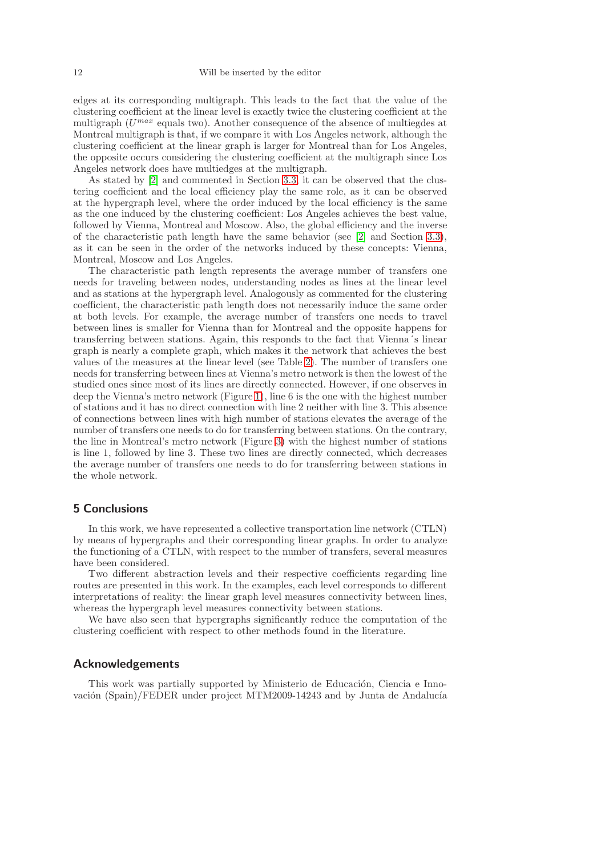edges at its corresponding multigraph. This leads to the fact that the value of the clustering coefficient at the linear level is exactly twice the clustering coefficient at the multigraph  $(U^{max}$  equals two). Another consequence of the absence of multiegdes at Montreal multigraph is that, if we compare it with Los Angeles network, although the clustering coefficient at the linear graph is larger for Montreal than for Los Angeles, the opposite occurs considering the clustering coefficient at the multigraph since Los Angeles network does have multiedges at the multigraph.

As stated by [\[2\]](#page-13-1) and commented in Section [3.3,](#page-8-1) it can be observed that the clustering coefficient and the local efficiency play the same role, as it can be observed at the hypergraph level, where the order induced by the local efficiency is the same as the one induced by the clustering coefficient: Los Angeles achieves the best value, followed by Vienna, Montreal and Moscow. Also, the global efficiency and the inverse of the characteristic path length have the same behavior (see [\[2\]](#page-13-1) and Section [3.3\)](#page-8-1), as it can be seen in the order of the networks induced by these concepts: Vienna, Montreal, Moscow and Los Angeles.

The characteristic path length represents the average number of transfers one needs for traveling between nodes, understanding nodes as lines at the linear level and as stations at the hypergraph level. Analogously as commented for the clustering coefficient, the characteristic path length does not necessarily induce the same order at both levels. For example, the average number of transfers one needs to travel between lines is smaller for Vienna than for Montreal and the opposite happens for transferring between stations. Again, this responds to the fact that Vienna´s linear graph is nearly a complete graph, which makes it the network that achieves the best values of the measures at the linear level (see Table [2\)](#page-11-0). The number of transfers one needs for transferring between lines at Vienna's metro network is then the lowest of the studied ones since most of its lines are directly connected. However, if one observes in deep the Vienna's metro network (Figure [1\)](#page-14-0), line 6 is the one with the highest number of stations and it has no direct connection with line 2 neither with line 3. This absence of connections between lines with high number of stations elevates the average of the number of transfers one needs to do for transferring between stations. On the contrary, the line in Montreal's metro network (Figure [3\)](#page-16-0) with the highest number of stations is line 1, followed by line 3. These two lines are directly connected, which decreases the average number of transfers one needs to do for transferring between stations in the whole network.

# 5 Conclusions

In this work, we have represented a collective transportation line network (CTLN) by means of hypergraphs and their corresponding linear graphs. In order to analyze the functioning of a CTLN, with respect to the number of transfers, several measures have been considered.

Two different abstraction levels and their respective coefficients regarding line routes are presented in this work. In the examples, each level corresponds to different interpretations of reality: the linear graph level measures connectivity between lines, whereas the hypergraph level measures connectivity between stations.

We have also seen that hypergraphs significantly reduce the computation of the clustering coefficient with respect to other methods found in the literature.

# Acknowledgements

This work was partially supported by Ministerio de Educación, Ciencia e Innovación (Spain)/FEDER under project MTM2009-14243 and by Junta de Andalucía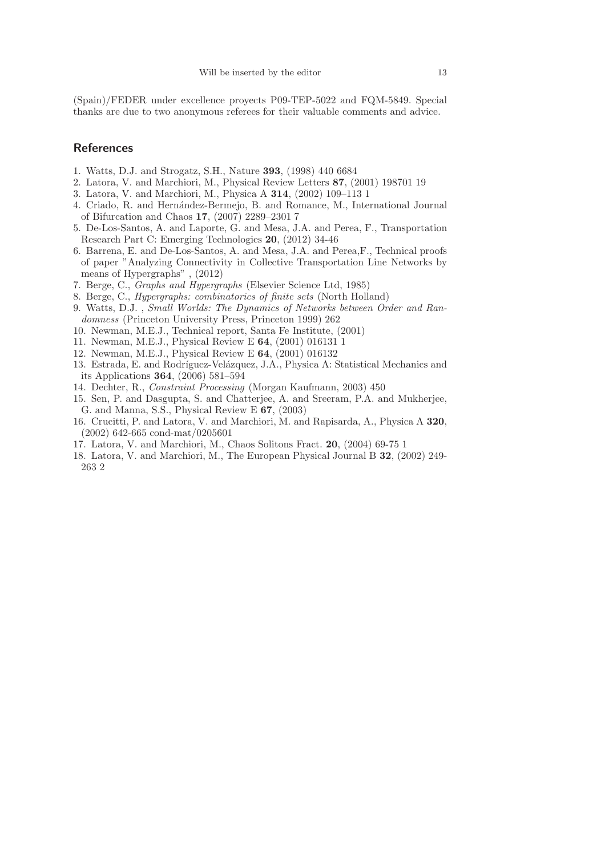(Spain)/FEDER under excellence proyects P09-TEP-5022 and FQM-5849. Special thanks are due to two anonymous referees for their valuable comments and advice.

# <span id="page-13-0"></span>**References**

- <span id="page-13-1"></span>1. Watts, D.J. and Strogatz, S.H., Nature 393, (1998) 440 6684
- <span id="page-13-2"></span>2. Latora, V. and Marchiori, M., Physical Review Letters 87, (2001) 198701 19
- <span id="page-13-3"></span>3. Latora, V. and Marchiori, M., Physica A 314, (2002) 109–113 1
- 4. Criado, R. and Hernández-Bermejo, B. and Romance, M., International Journal of Bifurcation and Chaos 17, (2007) 2289–2301 7
- <span id="page-13-4"></span>5. De-Los-Santos, A. and Laporte, G. and Mesa, J.A. and Perea, F., Transportation Research Part C: Emerging Technologies 20, (2012) 34-46
- <span id="page-13-5"></span>6. Barrena, E. and De-Los-Santos, A. and Mesa, J.A. and Perea,F., Technical proofs of paper "Analyzing Connectivity in Collective Transportation Line Networks by means of Hypergraphs" , (2012)
- <span id="page-13-7"></span><span id="page-13-6"></span>7. Berge, C., Graphs and Hypergraphs (Elsevier Science Ltd, 1985)
- <span id="page-13-8"></span>8. Berge, C., Hypergraphs: combinatorics of finite sets (North Holland)
- 9. Watts, D.J. , Small Worlds: The Dynamics of Networks between Order and Randomness (Princeton University Press, Princeton 1999) 262
- <span id="page-13-9"></span>10. Newman, M.E.J., Technical report, Santa Fe Institute, (2001)
- <span id="page-13-10"></span>11. Newman, M.E.J., Physical Review E 64, (2001) 016131 1
- <span id="page-13-11"></span>12. Newman, M.E.J., Physical Review E 64, (2001) 016132
- 13. Estrada, E. and Rodríguez-Velázquez, J.A., Physica A: Statistical Mechanics and its Applications 364, (2006) 581–594
- <span id="page-13-13"></span><span id="page-13-12"></span>14. Dechter, R., Constraint Processing (Morgan Kaufmann, 2003) 450
- 15. Sen, P. and Dasgupta, S. and Chatterjee, A. and Sreeram, P.A. and Mukherjee, G. and Manna, S.S., Physical Review E 67, (2003)
- <span id="page-13-14"></span>16. Crucitti, P. and Latora, V. and Marchiori, M. and Rapisarda, A., Physica A 320, (2002) 642-665 cond-mat/0205601
- <span id="page-13-15"></span>17. Latora, V. and Marchiori, M., Chaos Solitons Fract. 20, (2004) 69-75 1
- 18. Latora, V. and Marchiori, M., The European Physical Journal B 32, (2002) 249- 263 2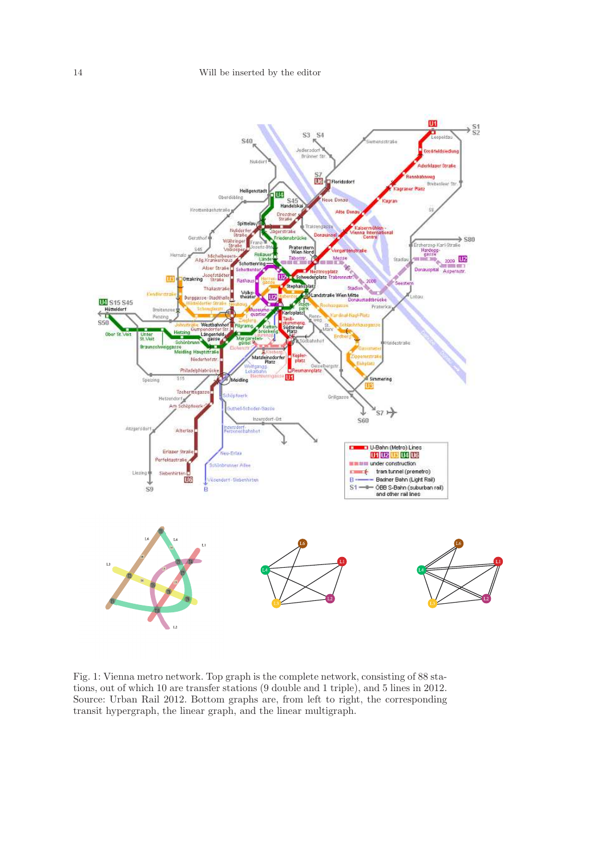<span id="page-14-0"></span>

Fig. 1: Vienna metro network. Top graph is the complete network, consisting of 88 stations, out of which 10 are transfer stations (9 double and 1 triple), and 5 lines in 2012. Source: Urban Rail 2012. Bottom graphs are, from left to right, the corresponding transit hypergraph, the linear graph, and the linear multigraph.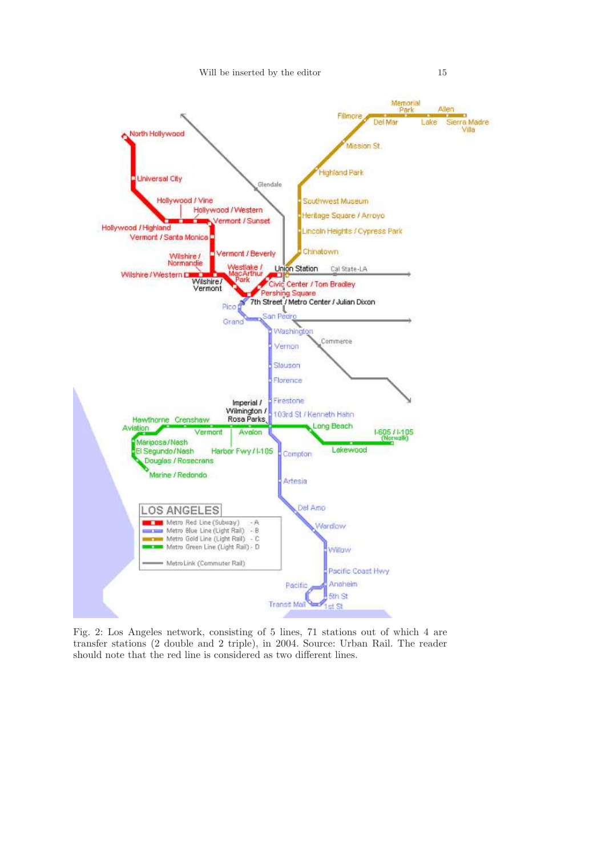<span id="page-15-0"></span>

Fig. 2: Los Angeles network, consisting of 5 lines, 71 stations out of which 4 are transfer stations (2 double and 2 triple), in 2004. Source: Urban Rail. The reader should note that the red line is considered as two different lines.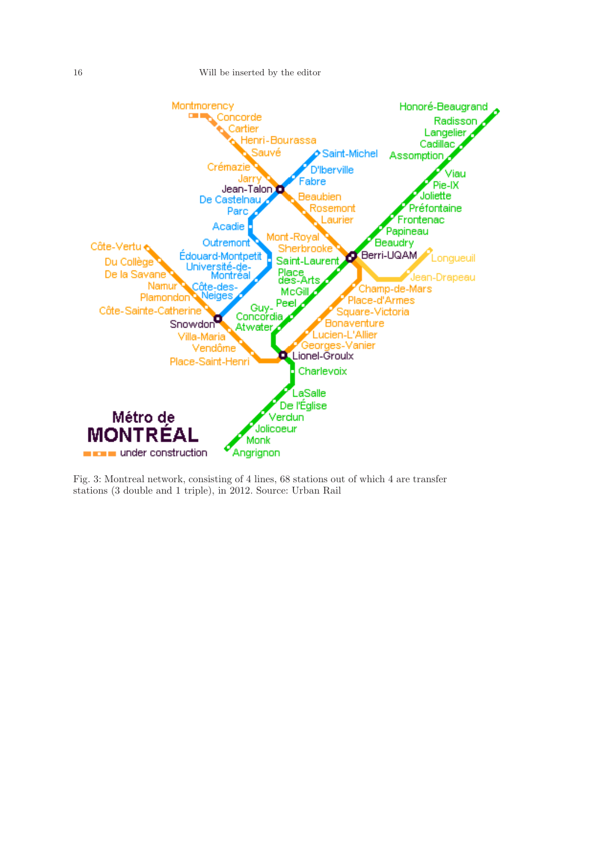16 Will be inserted by the editor

<span id="page-16-0"></span>

Fig. 3: Montreal network, consisting of 4 lines, 68 stations out of which 4 are transfer stations (3 double and 1 triple), in 2012. Source: Urban Rail